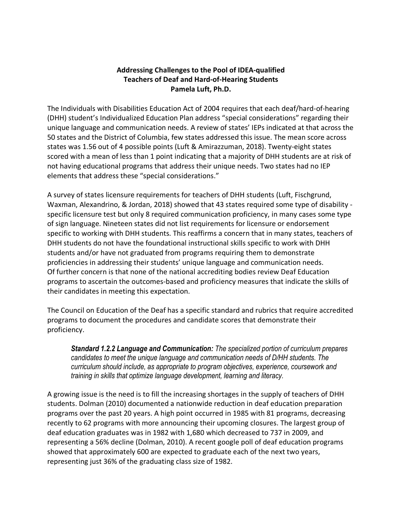## **Addressing Challenges to the Pool of IDEA-qualified Teachers of Deaf and Hard-of-Hearing Students Pamela Luft, Ph.D.**

The Individuals with Disabilities Education Act of 2004 requires that each deaf/hard-of-hearing (DHH) student's Individualized Education Plan address "special considerations" regarding their unique language and communication needs. A review of states' IEPs indicated at that across the 50 states and the District of Columbia, few states addressed this issue. The mean score across states was 1.56 out of 4 possible points (Luft & Amirazzuman, 2018). Twenty-eight states scored with a mean of less than 1 point indicating that a majority of DHH students are at risk of not having educational programs that address their unique needs. Two states had no IEP elements that address these "special considerations."

A survey of states licensure requirements for teachers of DHH students (Luft, Fischgrund, Waxman, Alexandrino, & Jordan, 2018) showed that 43 states required some type of disability specific licensure test but only 8 required communication proficiency, in many cases some type of sign language. Nineteen states did not list requirements for licensure or endorsement specific to working with DHH students. This reaffirms a concern that in many states, teachers of DHH students do not have the foundational instructional skills specific to work with DHH students and/or have not graduated from programs requiring them to demonstrate proficiencies in addressing their students' unique language and communication needs. Of further concern is that none of the national accrediting bodies review Deaf Education programs to ascertain the outcomes-based and proficiency measures that indicate the skills of their candidates in meeting this expectation.

The Council on Education of the Deaf has a specific standard and rubrics that require accredited programs to document the procedures and candidate scores that demonstrate their proficiency.

*Standard 1.2.2 Language and Communication: The specialized portion of curriculum prepares candidates to meet the unique language and communication needs of D/HH students. The curriculum should include, as appropriate to program objectives, experience, coursework and training in skills that optimize language development, learning and literacy.*

A growing issue is the need is to fill the increasing shortages in the supply of teachers of DHH students. Dolman (2010) documented a nationwide reduction in deaf education preparation programs over the past 20 years. A high point occurred in 1985 with 81 programs, decreasing recently to 62 programs with more announcing their upcoming closures. The largest group of deaf education graduates was in 1982 with 1,680 which decreased to 737 in 2009, and representing a 56% decline (Dolman, 2010). A recent google poll of deaf education programs showed that approximately 600 are expected to graduate each of the next two years, representing just 36% of the graduating class size of 1982.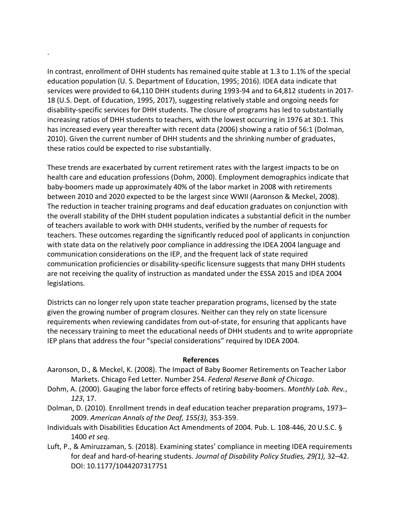In contrast, enrollment of DHH students has remained quite stable at 1.3 to 1.1% of the special education population (U. S. Department of Education, 1995; 2016). IDEA data indicate that services were provided to 64,110 DHH students during 1993-94 and to 64,812 students in 2017- 18 (U.S. Dept. of Education, 1995, 2017), suggesting relatively stable and ongoing needs for disability-specific services for DHH students. The closure of programs has led to substantially increasing ratios of DHH students to teachers, with the lowest occurring in 1976 at 30:1. This has increased every year thereafter with recent data (2006) showing a ratio of 56:1 (Dolman, 2010). Given the current number of DHH students and the shrinking number of graduates, these ratios could be expected to rise substantially.

.

These trends are exacerbated by current retirement rates with the largest impacts to be on health care and education professions (Dohm, 2000). Employment demographics indicate that baby-boomers made up approximately 40% of the labor market in 2008 with retirements between 2010 and 2020 expected to be the largest since WWII (Aaronson & Meckel, 2008). The reduction in teacher training programs and deaf education graduates on conjunction with the overall stability of the DHH student population indicates a substantial deficit in the number of teachers available to work with DHH students, verified by the number of requests for teachers. These outcomes regarding the significantly reduced pool of applicants in conjunction with state data on the relatively poor compliance in addressing the IDEA 2004 language and communication considerations on the IEP, and the frequent lack of state required communication proficiencies or disability-specific licensure suggests that many DHH students are not receiving the quality of instruction as mandated under the ESSA 2015 and IDEA 2004 legislations.

Districts can no longer rely upon state teacher preparation programs, licensed by the state given the growing number of program closures. Neither can they rely on state licensure requirements when reviewing candidates from out-of-state, for ensuring that applicants have the necessary training to meet the educational needs of DHH students and to write appropriate IEP plans that address the four "special considerations" required by IDEA 2004.

## **References**

- Aaronson, D., & Meckel, K. (2008). The Impact of Baby Boomer Retirements on Teacher Labor Markets. Chicago Fed Letter. Number 254. *Federal Reserve Bank of Chicago*.
- Dohm, A. (2000). Gauging the labor force effects of retiring baby-boomers. *Monthly Lab. Rev.*, *123*, 17.
- Dolman, D. (2010). Enrollment trends in deaf education teacher preparation programs, 1973– 2009. *American Annals of the Deaf, 155(3),* 353-359.
- Individuals with Disabilities Education Act Amendments of 2004. Pub. L. 108-446, 20 U.S.C. § 1400 *et seq.*
- Luft, P., & Amiruzzaman, S. (2018). Examining states' compliance in meeting IDEA requirements for deaf and hard-of-hearing students. *Journal of Disability Policy Studies, 29(1),* 32–42. DOI: 10.1177/1044207317751